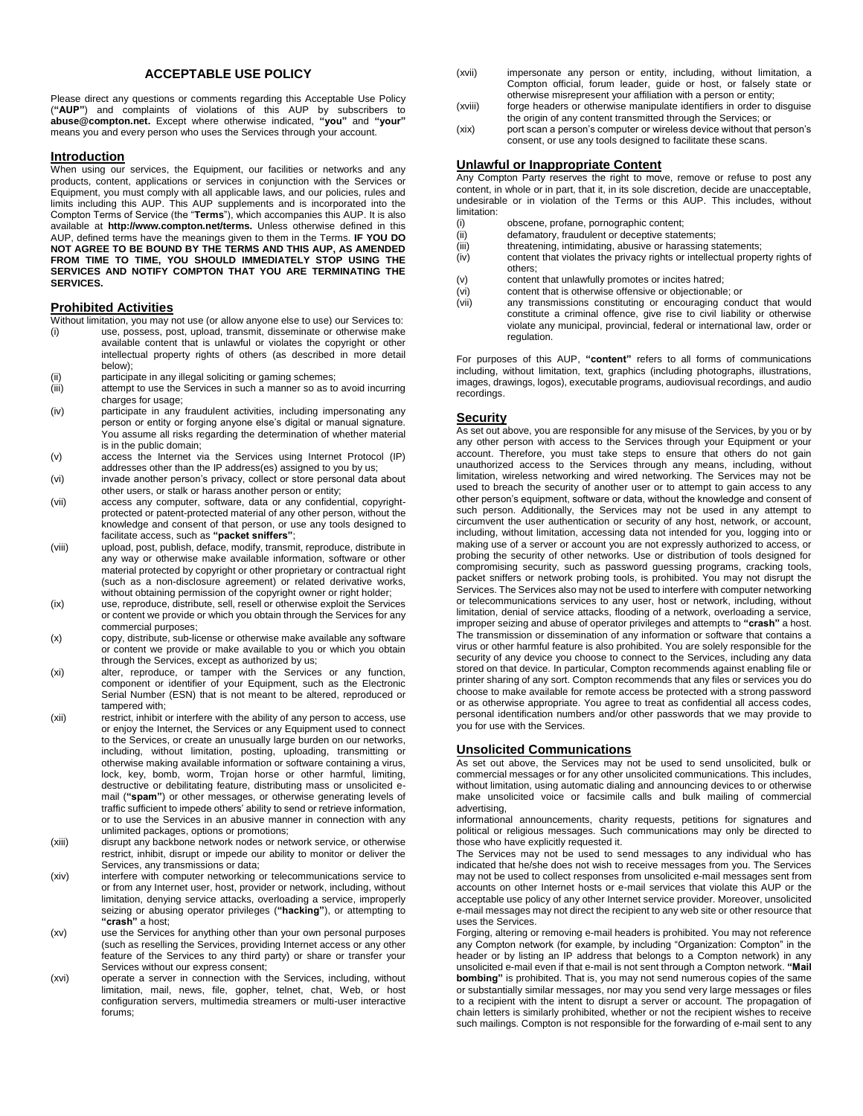# **ACCEPTABLE USE POLICY**

Please direct any questions or comments regarding this Acceptable Use Policy (**"AUP"**) and complaints of violations of this AUP by subscribers to **abuse@compton.net.** Except where otherwise indicated, **"you"** and **"your"**  means you and every person who uses the Services through your account.

#### **Introduction**

When using our services, the Equipment, our facilities or networks and any products, content, applications or services in conjunction with the Services or Equipment, you must comply with all applicable laws, and our policies, rules and limits including this AUP. This AUP supplements and is incorporated into the Compton Terms of Service (the "**Terms**"), which accompanies this AUP. It is also available at **http://www.compton.net/terms.** Unless otherwise defined in this AUP, defined terms have the meanings given to them in the Terms. **IF YOU DO NOT AGREE TO BE BOUND BY THE TERMS AND THIS AUP, AS AMENDED FROM TIME TO TIME, YOU SHOULD IMMEDIATELY STOP USING THE SERVICES AND NOTIFY COMPTON THAT YOU ARE TERMINATING THE SERVICES.** 

### **Prohibited Activities**

- Without limitation, you may not use (or allow anyone else to use) our Services to: (i) use, possess, post, upload, transmit, disseminate or otherwise make available content that is unlawful or violates the copyright or other intellectual property rights of others (as described in more detail below);
- (ii) participate in any illegal soliciting or gaming schemes;
- (iii) attempt to use the Services in such a manner so as to avoid incurring charges for usage;
- (iv) participate in any fraudulent activities, including impersonating any person or entity or forging anyone else's digital or manual signature. You assume all risks regarding the determination of whether material is in the public domain;
- (v) access the Internet via the Services using Internet Protocol (IP) addresses other than the IP address(es) assigned to you by us;
- (vi) invade another person's privacy, collect or store personal data about other users, or stalk or harass another person or entity;
- (vii) access any computer, software, data or any confidential, copyrightprotected or patent-protected material of any other person, without the knowledge and consent of that person, or use any tools designed to facilitate access, such as **"packet sniffers"**;
- (viii) upload, post, publish, deface, modify, transmit, reproduce, distribute in any way or otherwise make available information, software or other material protected by copyright or other proprietary or contractual right (such as a non-disclosure agreement) or related derivative works, without obtaining permission of the copyright owner or right holder;
- (ix) use, reproduce, distribute, sell, resell or otherwise exploit the Services or content we provide or which you obtain through the Services for any commercial purposes;
- (x) copy, distribute, sub-license or otherwise make available any software or content we provide or make available to you or which you obtain through the Services, except as authorized by us;
- (xi) alter, reproduce, or tamper with the Services or any function, component or identifier of your Equipment, such as the Electronic Serial Number (ESN) that is not meant to be altered, reproduced or tampered with;
- (xii) restrict, inhibit or interfere with the ability of any person to access, use or enjoy the Internet, the Services or any Equipment used to connect to the Services, or create an unusually large burden on our networks, including, without limitation, posting, uploading, transmitting or otherwise making available information or software containing a virus, lock, key, bomb, worm, Trojan horse or other harmful, limiting, destructive or debilitating feature, distributing mass or unsolicited email (**"spam"**) or other messages, or otherwise generating levels of traffic sufficient to impede others' ability to send or retrieve information, or to use the Services in an abusive manner in connection with any unlimited packages, options or promotions;
- (xiii) disrupt any backbone network nodes or network service, or otherwise restrict, inhibit, disrupt or impede our ability to monitor or deliver the Services, any transmissions or data;
- (xiv) interfere with computer networking or telecommunications service to or from any Internet user, host, provider or network, including, without limitation, denying service attacks, overloading a service, improperly seizing or abusing operator privileges (**"hacking"**), or attempting to **"crash"** a host;
- (xv) use the Services for anything other than your own personal purposes (such as reselling the Services, providing Internet access or any other feature of the Services to any third party) or share or transfer your Services without our express consent;
- (xvi) operate a server in connection with the Services, including, without limitation, mail, news, file, gopher, telnet, chat, Web, or host configuration servers, multimedia streamers or multi-user interactive forums;
- (xvii) impersonate any person or entity, including, without limitation, a Compton official, forum leader, guide or host, or falsely state or otherwise misrepresent your affiliation with a person or entity;
- (xviii) forge headers or otherwise manipulate identifiers in order to disguise the origin of any content transmitted through the Services; or
- (xix) port scan a person's computer or wireless device without that person's consent, or use any tools designed to facilitate these scans.

### **Unlawful or Inappropriate Content**

Any Compton Party reserves the right to move, remove or refuse to post any content, in whole or in part, that it, in its sole discretion, decide are unacceptable, undesirable or in violation of the Terms or this AUP. This includes, without limitation:

- (i) obscene, profane, pornographic content;<br>(ii) defamatory, fraudulent or deceptive state
- (ii) defamatory, fraudulent or deceptive statements;<br>(iii) threatening, intimidating, abusive or harassing statements;
- threatening, intimidating, abusive or harassing statements;
- (iv) content that violates the privacy rights or intellectual property rights of others;
- (v) content that unlawfully promotes or incites hatred;
- (vi) content that is otherwise offensive or objectionable; or
- (vii) any transmissions constituting or encouraging conduct that would constitute a criminal offence, give rise to civil liability or otherwise violate any municipal, provincial, federal or international law, order or regulation.

For purposes of this AUP, **"content"** refers to all forms of communications including, without limitation, text, graphics (including photographs, illustrations, images, drawings, logos), executable programs, audiovisual recordings, and audio recordings.

### **Security**

As set out above, you are responsible for any misuse of the Services, by you or by any other person with access to the Services through your Equipment or your account. Therefore, you must take steps to ensure that others do not gain unauthorized access to the Services through any means, including, without limitation, wireless networking and wired networking. The Services may not be used to breach the security of another user or to attempt to gain access to any other person's equipment, software or data, without the knowledge and consent of such person. Additionally, the Services may not be used in any attempt to circumvent the user authentication or security of any host, network, or account, including, without limitation, accessing data not intended for you, logging into or making use of a server or account you are not expressly authorized to access, or probing the security of other networks. Use or distribution of tools designed for compromising security, such as password guessing programs, cracking tools, packet sniffers or network probing tools, is prohibited. You may not disrupt the Services. The Services also may not be used to interfere with computer networking or telecommunications services to any user, host or network, including, without limitation, denial of service attacks, flooding of a network, overloading a service, improper seizing and abuse of operator privileges and attempts to **"crash"** a host. The transmission or dissemination of any information or software that contains a virus or other harmful feature is also prohibited. You are solely responsible for the security of any device you choose to connect to the Services, including any data stored on that device. In particular, Compton recommends against enabling file or printer sharing of any sort. Compton recommends that any files or services you do choose to make available for remote access be protected with a strong password or as otherwise appropriate. You agree to treat as confidential all access codes, personal identification numbers and/or other passwords that we may provide to you for use with the Services.

# **Unsolicited Communications**

As set out above, the Services may not be used to send unsolicited, bulk or commercial messages or for any other unsolicited communications. This includes, without limitation, using automatic dialing and announcing devices to or otherwise make unsolicited voice or facsimile calls and bulk mailing of commercial advertising,

informational announcements, charity requests, petitions for signatures and political or religious messages. Such communications may only be directed to those who have explicitly requested it.

The Services may not be used to send messages to any individual who has indicated that he/she does not wish to receive messages from you. The Services may not be used to collect responses from unsolicited e-mail messages sent from accounts on other Internet hosts or e-mail services that violate this AUP or the acceptable use policy of any other Internet service provider. Moreover, unsolicited e-mail messages may not direct the recipient to any web site or other resource that uses the Services.

Forging, altering or removing e-mail headers is prohibited. You may not reference any Compton network (for example, by including "Organization: Compton" in the header or by listing an IP address that belongs to a Compton network) in any unsolicited e-mail even if that e-mail is not sent through a Compton network. **"Mail bombing"** is prohibited. That is, you may not send numerous copies of the same or substantially similar messages, nor may you send very large messages or files to a recipient with the intent to disrupt a server or account. The propagation of chain letters is similarly prohibited, whether or not the recipient wishes to receive such mailings. Compton is not responsible for the forwarding of e-mail sent to any